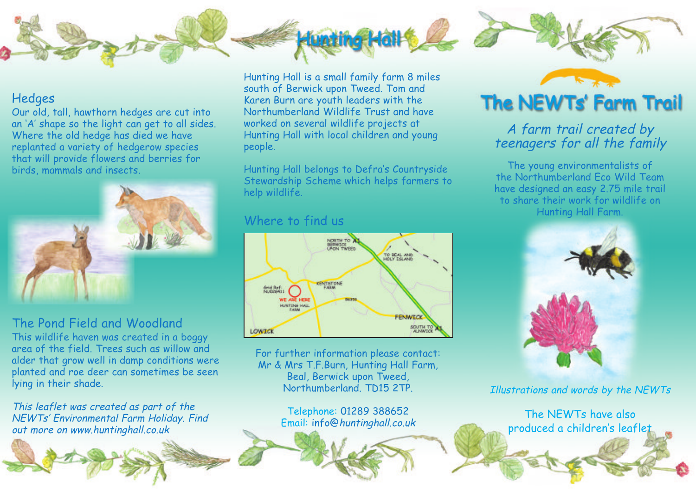

#### **Hedges**

Our old, tall, hawthorn hedges are cut into an 'A' shape so the light can get to all sides. Where the old hedge has died we have replanted a variety of hedgerow species that will provide flowers and berries for birds, mammals and insects.



### The Pond Field and Woodland

This wildlife haven was created in a boggy area of the field. Trees such as willow and alder that grow well in damp conditions were planted and roe deer can sometimes be seen lying in their shade.

This leaflet was created as part of the NEWTs' Environmental Farm Holiday. Find out more on www.huntinghall.co.uk

Hunting Hall is a small family farm 8 miles south of Berwick upon Tweed. Tom and Karen Burn are youth leaders with the Northumberland Wildlife Trust and have worked on several wildlife projects at Hunting Hall with local children and young people.

Hunting Hall belongs to Defra's Countryside Stewardship Scheme which helps farmers to help wildlife.

#### Where to find us



For further information please contact: Mr & Mrs T.F.Burn, Hunting Hall Farm, Beal, Berwick upon Tweed, Northumberland. TD15 2TP.

> Telephone: 01289 388652 Email: info@huntinghall.co.uk



## <sup>A</sup> farm trail created by teenagers for all the family

The young environmentalists of the Northumberland Eco Wild Team have designed an easy 2.75 mile trail to share their work for wildlife on Hunting Hall Farm.



Illustrations and words by the NEWTs

The NEWTs have also produced a children's leaflet